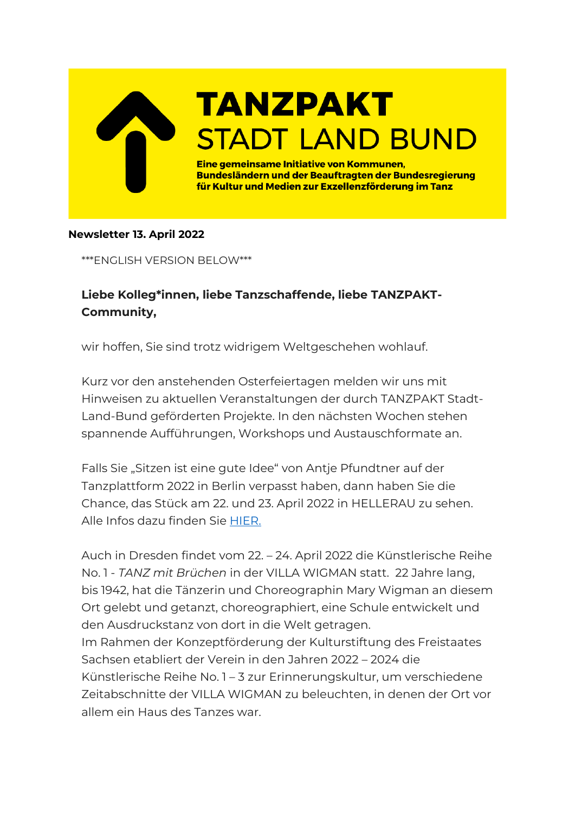

## **Newsletter 13. April 2022**

\*\*\*ENGLISH VERSION BELOW\*\*\*

## **Liebe Kolleg\*innen, liebe Tanzschaffende, liebe TANZPAKT-Community,**

wir hoffen, Sie sind trotz widrigem Weltgeschehen wohlauf.

Kurz vor den anstehenden Osterfeiertagen melden wir uns mit Hinweisen zu aktuellen Veranstaltungen der durch TANZPAKT Stadt-Land-Bund geförderten Projekte. In den nächsten Wochen stehen spannende Aufführungen, Workshops und Austauschformate an.

Falls Sie "Sitzen ist eine gute Idee" von Antje Pfundtner auf der Tanzplattform 2022 in Berlin verpasst haben, dann haben Sie die Chance, das Stück am 22. und 23. April 2022 in HELLERAU zu sehen. Alle Infos dazu finden Sie [HIER.](https://www.hellerau.org/de/event/sitzen-ist-eine-gute-idee/)

Auch in Dresden findet vom 22. – 24. April 2022 die Künstlerische Reihe No. 1 - *TANZ mit Brüchen* in der VILLA WIGMAN statt. 22 Jahre lang, bis 1942, hat die Tänzerin und Choreographin Mary Wigman an diesem Ort gelebt und getanzt, choreographiert, eine Schule entwickelt und den Ausdruckstanz von dort in die Welt getragen.

Im Rahmen der Konzeptförderung der Kulturstiftung des Freistaates Sachsen etabliert der Verein in den Jahren 2022 – 2024 die Künstlerische Reihe No. 1 – 3 zur Erinnerungskultur, um verschiedene Zeitabschnitte der VILLA WIGMAN zu beleuchten, in denen der Ort vor allem ein Haus des Tanzes war.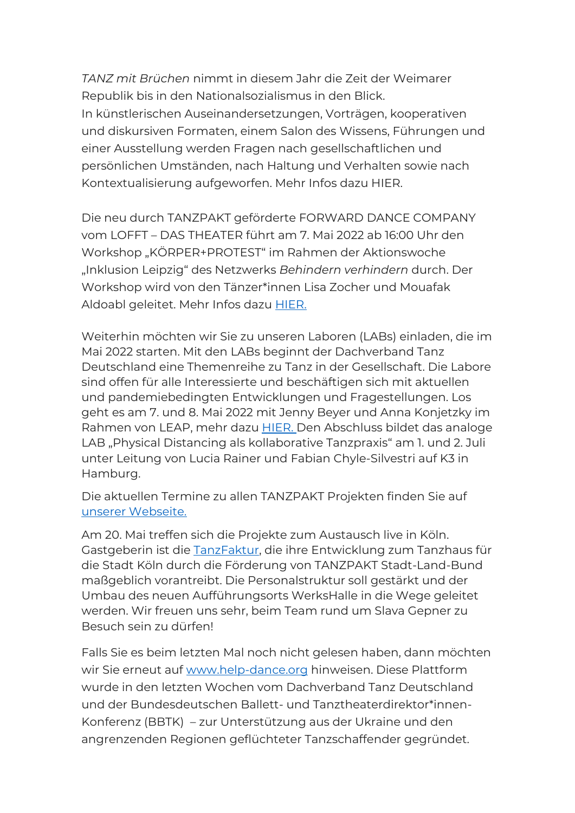*TANZ mit Brüchen* nimmt in diesem Jahr die Zeit der Weimarer Republik bis in den Nationalsozialismus in den Blick. In künstlerischen Auseinandersetzungen, Vorträgen, kooperativen und diskursiven Formaten, einem Salon des Wissens, Führungen und einer Ausstellung werden Fragen nach gesellschaftlichen und persönlichen Umständen, nach Haltung und Verhalten sowie nach Kontextualisierung aufgeworfen. Mehr Infos dazu HIER.

Die neu durch TANZPAKT geförderte FORWARD DANCE COMPANY vom LOFFT – DAS THEATER führt am 7. Mai 2022 ab 16:00 Uhr den Workshop "KÖRPER+PROTEST" im Rahmen der Aktionswoche "Inklusion Leipzig" des Netzwerks *Behindern verhindern* durch. Der Workshop wird von den Tänzer\*innen Lisa Zocher und Mouafak Aldoabl geleitet. Mehr Infos dazu [HIER.](https://www.lofft.de/programm/veranstaltung/koerper-protest)

Weiterhin möchten wir Sie zu unseren Laboren (LABs) einladen, die im Mai 2022 starten. Mit den LABs beginnt der Dachverband Tanz Deutschland eine Themenreihe zu Tanz in der Gesellschaft. Die Labore sind offen für alle Interessierte und beschäftigen sich mit aktuellen und pandemiebedingten Entwicklungen und Fragestellungen. Los geht es am 7. und 8. Mai 2022 mit Jenny Beyer und Anna Konjetzky im Rahmen von LEAP, mehr dazu [HIER.](https://kulturellebildung.de/kurse/leap-2022-sharing-practice-mit-anna-konjetzky/) Den Abschluss bildet das analoge LAB "Physical Distancing als kollaborative Tanzpraxis" am 1. und 2. Juli unter Leitung von Lucia Rainer und Fabian Chyle-Silvestri auf K3 in Hamburg.

Die aktuellen Termine zu allen TANZPAKT Projekten finden Sie auf [unserer Webseite.](http://www.tanzpakt.de/home/)

Am 20. Mai treffen sich die Projekte zum Austausch live in Köln. Gastgeberin ist die [TanzFaktur,](https://www.tanzfaktur.eu/de/) die ihre Entwicklung zum Tanzhaus für die Stadt Köln durch die Förderung von TANZPAKT Stadt-Land-Bund maßgeblich vorantreibt. Die Personalstruktur soll gestärkt und der Umbau des neuen Aufführungsorts WerksHalle in die Wege geleitet werden. Wir freuen uns sehr, beim Team rund um Slava Gepner zu Besuch sein zu dürfen!

Falls Sie es beim letzten Mal noch nicht gelesen haben, dann möchten wir Sie erneut auf [www.help-dance.org](http://www.help-dance.org/) hinweisen. Diese Plattform wurde in den letzten Wochen vom Dachverband Tanz Deutschland und der Bundesdeutschen Ballett- und Tanztheaterdirektor\*innen-Konferenz (BBTK) – zur Unterstützung aus der Ukraine und den angrenzenden Regionen geflüchteter Tanzschaffender gegründet.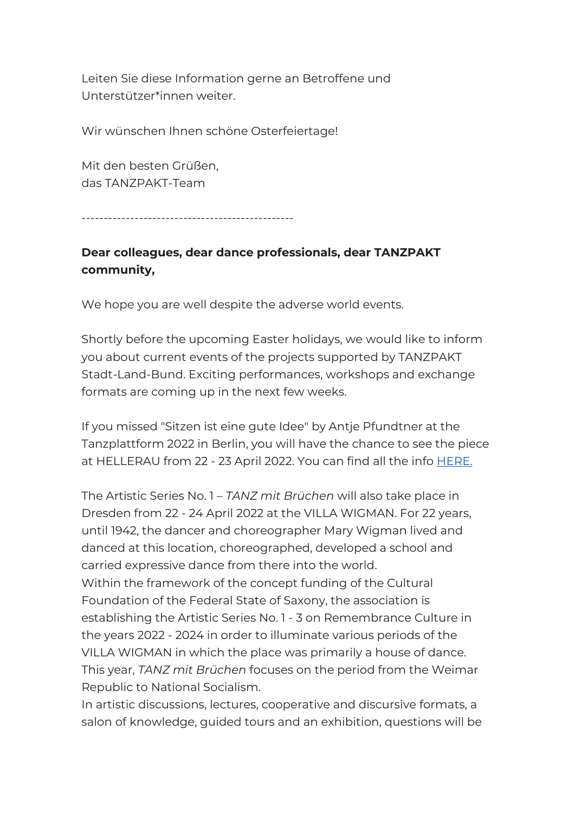Leiten Sie diese Information gerne an Betroffene und Unterstützer\*innen weiter.

Wir wünschen Ihnen schöne Osterfeiertage!

Mit den besten Grüßen, das TANZPAKT-Team

------------------------------------------------

## **Dear colleagues, dear dance professionals, dear TANZPAKT community,**

We hope you are well despite the adverse world events.

Shortly before the upcoming Easter holidays, we would like to inform you about current events of the projects supported by TANZPAKT Stadt-Land-Bund. Exciting performances, workshops and exchange formats are coming up in the next few weeks.

If you missed "Sitzen ist eine gute Idee" by Antje Pfundtner at the Tanzplattform 2022 in Berlin, you will have the chance to see the piece at HELLERAU from 22 - 23 April 2022. You can find all the info [HERE.](https://www.hellerau.org/de/event/sitzen-ist-eine-gute-idee/)

The Artistic Series No. 1 – *TANZ mit Brüchen* will also take place in Dresden from 22 - 24 April 2022 at the VILLA WIGMAN. For 22 years, until 1942, the dancer and choreographer Mary Wigman lived and danced at this location, choreographed, developed a school and carried expressive dance from there into the world.

Within the framework of the concept funding of the Cultural Foundation of the Federal State of Saxony, the association is establishing the Artistic Series No. 1 - 3 on Remembrance Culture in the years 2022 - 2024 in order to illuminate various periods of the VILLA WIGMAN in which the place was primarily a house of dance. This year, *TANZ mit Brüchen* focuses on the period from the Weimar Republic to National Socialism.

In artistic discussions, lectures, cooperative and discursive formats, a salon of knowledge, guided tours and an exhibition, questions will be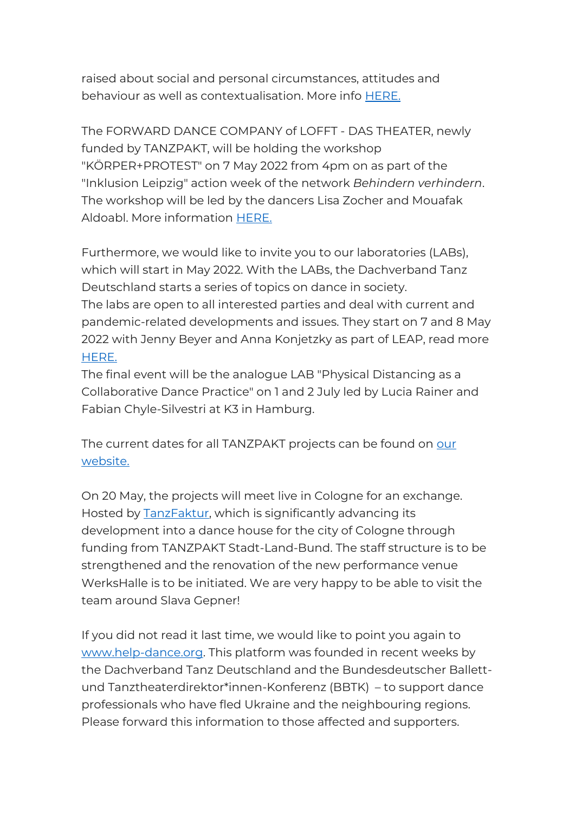raised about social and personal circumstances, attitudes and behaviour as well as contextualisation. More info [HERE.](file:///C:/Users/DTD%20-%20Uta%20Eismann/OneDrive%20-%20Dachverband%20Tanz%20Deutschland/Desktop/Programm_Künstlerische%20Reihe%20No.%201%20-%20TANZ%20mit%20Brüchen.pdf)

The FORWARD DANCE COMPANY of LOFFT - DAS THEATER, newly funded by TANZPAKT, will be holding the workshop "KÖRPER+PROTEST" on 7 May 2022 from 4pm on as part of the "Inklusion Leipzig" action week of the network *Behindern verhindern*. The workshop will be led by the dancers Lisa Zocher and Mouafak Aldoabl. More information [HERE.](https://www.lofft.de/programm/veranstaltung/koerper-protest)

Furthermore, we would like to invite you to our laboratories (LABs), which will start in May 2022. With the LABs, the Dachverband Tanz Deutschland starts a series of topics on dance in society. The labs are open to all interested parties and deal with current and pandemic-related developments and issues. They start on 7 and 8 May 2022 with Jenny Beyer and Anna Konjetzky as part of LEAP, read more [HERE.](https://www.dis-tanzen.de/ueber/labore)

The final event will be the analogue LAB "Physical Distancing as a Collaborative Dance Practice" on 1 and 2 July led by Lucia Rainer and Fabian Chyle-Silvestri at K3 in Hamburg.

The current dates for all TANZPAKT projects can be found on our [website.](http://www.tanzpakt.de/en/home/)

On 20 May, the projects will meet live in Cologne for an exchange. Hosted by [TanzFaktur,](https://www.tanzfaktur.eu/en/) which is significantly advancing its development into a dance house for the city of Cologne through funding from TANZPAKT Stadt-Land-Bund. The staff structure is to be strengthened and the renovation of the new performance venue WerksHalle is to be initiated. We are very happy to be able to visit the team around Slava Gepner!

If you did not read it last time, we would like to point you again to [www.help-dance.org.](http://www.help-dance.org/) This platform was founded in recent weeks by the Dachverband Tanz Deutschland and the Bundesdeutscher Ballettund Tanztheaterdirektor\*innen-Konferenz (BBTK) – to support dance professionals who have fled Ukraine and the neighbouring regions. Please forward this information to those affected and supporters.